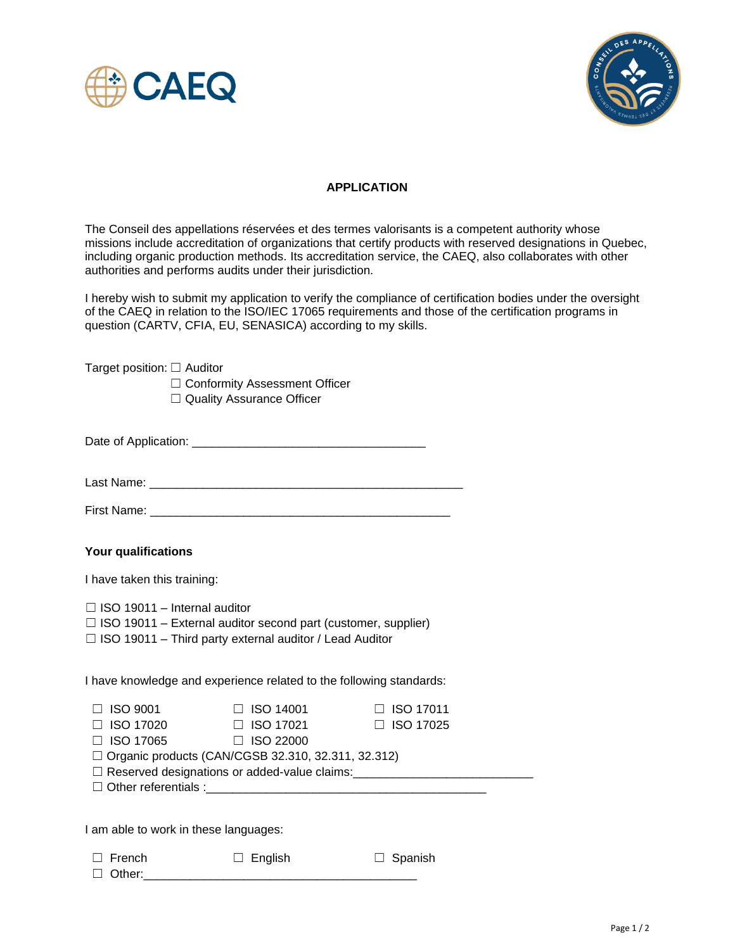



## **APPLICATION**

The Conseil des appellations réservées et des termes valorisants is a competent authority whose missions include accreditation of organizations that certify products with reserved designations in Quebec, including organic production methods. Its accreditation service, the CAEQ, also collaborates with other authorities and performs audits under their jurisdiction.

I hereby wish to submit my application to verify the compliance of certification bodies under the oversight of the CAEQ in relation to the ISO/IEC 17065 requirements and those of the certification programs in question (CARTV, CFIA, EU, SENASICA) according to my skills.

|  |  | Target position: $\Box$ Auditor |  |  |
|--|--|---------------------------------|--|--|
|--|--|---------------------------------|--|--|

☐ Conformity Assessment Officer ☐ Quality Assurance Officer

Date of Application: \_\_\_\_\_\_\_\_\_\_\_\_\_\_\_\_\_\_\_\_\_\_\_\_\_\_\_\_\_\_\_\_\_\_\_

Last Name: \_\_\_\_\_\_\_\_\_\_\_\_\_\_\_\_\_\_\_\_\_\_\_\_\_\_\_\_\_\_\_\_\_\_\_\_\_\_\_\_\_\_\_\_\_\_\_

First Name: \_\_\_\_\_\_\_\_\_\_\_\_\_\_\_\_\_\_\_\_\_\_\_\_\_\_\_\_\_\_\_\_\_\_\_\_\_\_\_\_\_\_\_\_\_

## **Your qualifications**

I have taken this training:

 $\Box$  ISO 19011 – Internal auditor

- $\Box$  ISO 19011 External auditor second part (customer, supplier)
- ☐ ISO 19011 Third party external auditor / Lead Auditor

I have knowledge and experience related to the following standards:

| $\Box$ ISO 9001                                                                                  | $\Box$ ISO 14001 | $\Box$ ISO 17011 |  |  |  |
|--------------------------------------------------------------------------------------------------|------------------|------------------|--|--|--|
| $\Box$ ISO 17020                                                                                 | $\Box$ ISO 17021 | $\Box$ ISO 17025 |  |  |  |
| $\Box$ ISO 17065                                                                                 | $\Box$ ISO 22000 |                  |  |  |  |
| $\Box$ Organic products (CAN/CGSB 32.310, 32.311, 32.312)                                        |                  |                  |  |  |  |
| □ Reserved designations or added-value claims:<br>□ Reserved designations or added-value claims: |                  |                  |  |  |  |
|                                                                                                  |                  |                  |  |  |  |
|                                                                                                  |                  |                  |  |  |  |

I am able to work in these languages:

| $\Box$ French | $\Box$ English | $\Box$ Spanish |
|---------------|----------------|----------------|
|---------------|----------------|----------------|

 $\Box$  Other: